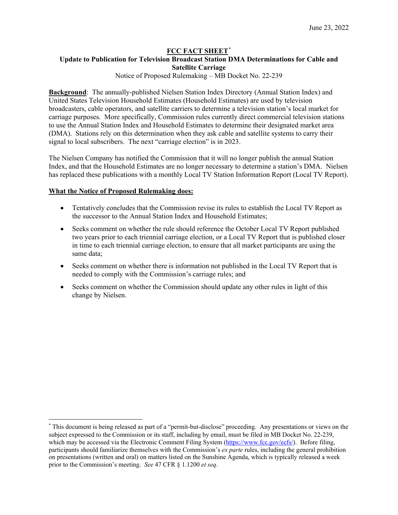## **FCC FACT SHEET**[\\*](#page-0-0)

## **Update to Publication for Television Broadcast Station DMA Determinations for Cable and Satellite Carriage**

Notice of Proposed Rulemaking – MB Docket No. 22-239

**Background**: The annually-published Nielsen Station Index Directory (Annual Station Index) and United States Television Household Estimates (Household Estimates) are used by television broadcasters, cable operators, and satellite carriers to determine a television station's local market for carriage purposes. More specifically, Commission rules currently direct commercial television stations to use the Annual Station Index and Household Estimates to determine their designated market area (DMA). Stations rely on this determination when they ask cable and satellite systems to carry their signal to local subscribers. The next "carriage election" is in 2023.

The Nielsen Company has notified the Commission that it will no longer publish the annual Station Index, and that the Household Estimates are no longer necessary to determine a station's DMA. Nielsen has replaced these publications with a monthly Local TV Station Information Report (Local TV Report).

#### **What the Notice of Proposed Rulemaking does:**

- Tentatively concludes that the Commission revise its rules to establish the Local TV Report as the successor to the Annual Station Index and Household Estimates;
- Seeks comment on whether the rule should reference the October Local TV Report published two years prior to each triennial carriage election, or a Local TV Report that is published closer in time to each triennial carriage election, to ensure that all market participants are using the same data;
- Seeks comment on whether there is information not published in the Local TV Report that is needed to comply with the Commission's carriage rules; and
- Seeks comment on whether the Commission should update any other rules in light of this change by Nielsen.

<span id="page-0-0"></span><sup>\*</sup> This document is being released as part of a "permit-but-disclose" proceeding. Any presentations or views on the subject expressed to the Commission or its staff, including by email, must be filed in MB Docket No. 22-239, which may be accessed via the Electronic Comment Filing System [\(https://www.fcc.gov/ecfs/\)](https://www.fcc.gov/ecfs/). Before filing, participants should familiarize themselves with the Commission's *ex parte* rules, including the general prohibition on presentations (written and oral) on matters listed on the Sunshine Agenda, which is typically released a week prior to the Commission's meeting. *See* 47 CFR § 1.1200 *et seq*.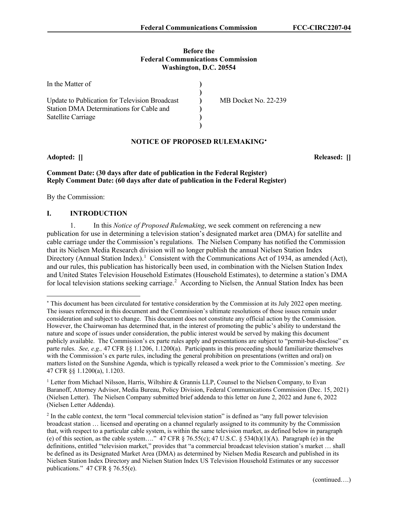#### **Before the Federal Communications Commission Washington, D.C. 20554**

| In the Matter of                               |                      |
|------------------------------------------------|----------------------|
|                                                |                      |
| Update to Publication for Television Broadcast | MB Docket No. 22-239 |
| Station DMA Determinations for Cable and       |                      |
| Satellite Carriage                             |                      |
|                                                |                      |

## **NOTICE OF PROPOSED RULEMAKING**[∗](#page-1-0)

**Adopted: [] Released: []**

## **Comment Date: (30 days after date of publication in the Federal Register) Reply Comment Date: (60 days after date of publication in the Federal Register)**

By the Commission:

## **I. INTRODUCTION**

1. In this *Notice of Proposed Rulemaking*, we seek comment on referencing a new publication for use in determining a television station's designated market area (DMA) for satellite and cable carriage under the Commission's regulations. The Nielsen Company has notified the Commission that its Nielsen Media Research division will no longer publish the annual Nielsen Station Index Directory (Annual Station Index).<sup>[1](#page-1-1)</sup> Consistent with the Communications Act of 1934, as amended (Act), and our rules, this publication has historically been used, in combination with the Nielsen Station Index and United States Television Household Estimates (Household Estimates), to determine a station's DMA for local television stations seeking carriage.<sup>[2](#page-1-2)</sup> According to Nielsen, the Annual Station Index has been

<span id="page-1-0"></span><sup>∗</sup> This document has been circulated for tentative consideration by the Commission at its July 2022 open meeting. The issues referenced in this document and the Commission's ultimate resolutions of those issues remain under consideration and subject to change. This document does not constitute any official action by the Commission. However, the Chairwoman has determined that, in the interest of promoting the public's ability to understand the nature and scope of issues under consideration, the public interest would be served by making this document publicly available. The Commission's ex parte rules apply and presentations are subject to "permit-but-disclose" ex parte rules. *See, e.g.,* 47 CFR §§ 1.1206, 1.1200(a). Participants in this proceeding should familiarize themselves with the Commission's ex parte rules, including the general prohibition on presentations (written and oral) on matters listed on the Sunshine Agenda, which is typically released a week prior to the Commission's meeting. *See* 47 CFR §§ 1.1200(a), 1.1203.

<span id="page-1-1"></span><sup>&</sup>lt;sup>1</sup> Letter from Michael Nilsson, Harris, Wiltshire & Grannis LLP, Counsel to the Nielsen Company, to Evan Baranoff, Attorney Advisor, Media Bureau, Policy Division, Federal Communications Commission (Dec. 15, 2021) (Nielsen Letter). The Nielsen Company submitted brief addenda to this letter on June 2, 2022 and June 6, 2022 (Nielsen Letter Addenda).

<span id="page-1-2"></span><sup>&</sup>lt;sup>2</sup> In the cable context, the term "local commercial television station" is defined as "any full power television broadcast station … licensed and operating on a channel regularly assigned to its community by the Commission that, with respect to a particular cable system, is within the same television market, as defined below in paragraph (e) of this section, as the cable system…." 47 CFR  $\S$  76.55(c); 47 U.S.C.  $\S$  534(h)(1)(A). Paragraph (e) in the definitions, entitled "television market," provides that "a commercial broadcast television station's market … shall be defined as its Designated Market Area (DMA) as determined by Nielsen Media Research and published in its Nielsen Station Index Directory and Nielsen Station Index US Television Household Estimates or any successor publications." 47 CFR § 76.55(e).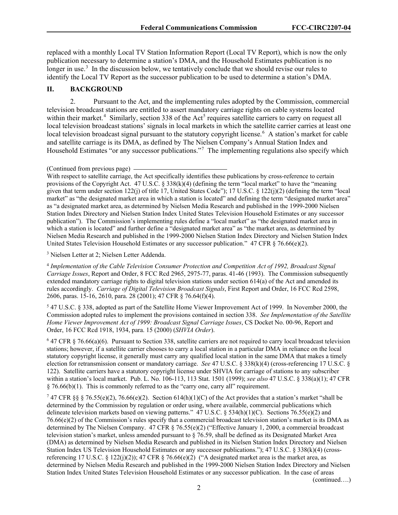replaced with a monthly Local TV Station Information Report (Local TV Report), which is now the only publication necessary to determine a station's DMA, and the Household Estimates publication is no longer in use.<sup>[3](#page-2-0)</sup> In the discussion below, we tentatively conclude that we should revise our rules to identify the Local TV Report as the successor publication to be used to determine a station's DMA.

#### **II. BACKGROUND**

2. Pursuant to the Act, and the implementing rules adopted by the Commission, commercial television broadcast stations are entitled to assert mandatory carriage rights on cable systems located within their market.<sup>[4](#page-2-1)</sup> Similarly, section 338 of the Act<sup>[5](#page-2-2)</sup> requires satellite carriers to carry on request all local television broadcast stations' signals in local markets in which the satellite carrier carries at least one local television broadcast signal pursuant to the statutory copyright license.<sup>[6](#page-2-3)</sup> A station's market for cable and satellite carriage is its DMA, as defined by The Nielsen Company's Annual Station Index and Household Estimates "or any successor publications."<sup>[7](#page-2-4)</sup> The implementing regulations also specify which

With respect to satellite carriage, the Act specifically identifies these publications by cross-reference to certain provisions of the Copyright Act. 47 U.S.C. § 338(k)(4) (defining the term "local market" to have the "meaning given that term under section 122(j) of title 17, United States Code"); 17 U.S.C.  $\S$  122(j)(2) (defining the term "local market" as "the designated market area in which a station is located" and defining the term "designated market area" as "a designated market area, as determined by Nielsen Media Research and published in the 1999-2000 Nielsen Station Index Directory and Nielsen Station Index United States Television Household Estimates or any successor publication"). The Commission's implementing rules define a "local market" as "the designated market area in which a station is located" and further define a "designated market area" as "the market area, as determined by Nielsen Media Research and published in the 1999-2000 Nielsen Station Index Directory and Nielsen Station Index United States Television Household Estimates or any successor publication." 47 CFR § 76.66(e)(2).

<span id="page-2-0"></span><sup>3</sup> Nielsen Letter at 2; Nielsen Letter Addenda.

<span id="page-2-1"></span><sup>4</sup> *Implementation of the Cable [Television Consumer Protection and Competition Act of 1992, Broadcast Signal](http://www.westlaw.com/Link/Document/FullText?findType=Y&serNum=1993255717&pubNum=0004493&originatingDoc=I33042472644111e690d4edf60ce7d742&refType=CA&fi=co_pp_sp_4493_2975&originationContext=document&vr=3.0&rs=cblt1.0&transitionType=DocumentItem&contextData=(sc.Search)#co_pp_sp_4493_2975)  Carriage Issues*[, Report and Order, 8 FCC Rcd 2965, 2975-77,](http://www.westlaw.com/Link/Document/FullText?findType=Y&serNum=1993255717&pubNum=0004493&originatingDoc=I33042472644111e690d4edf60ce7d742&refType=CA&fi=co_pp_sp_4493_2975&originationContext=document&vr=3.0&rs=cblt1.0&transitionType=DocumentItem&contextData=(sc.Search)#co_pp_sp_4493_2975) paras. 41-46 (1993). The Commission subsequently extended mandatory carriage rights to digital television stations under section 614(a) of the Act and amended its rules accordingly. *Carriage of Digital Television Broadcast Signals*[, First Report and Order, 16 FCC Rcd 2598,](http://www.westlaw.com/Link/Document/FullText?findType=Y&serNum=2001090461&pubNum=0004493&originatingDoc=I33042472644111e690d4edf60ce7d742&refType=CA&fi=co_pp_sp_4493_2606&originationContext=document&vr=3.0&rs=cblt1.0&transitionType=DocumentItem&contextData=(sc.Search)#co_pp_sp_4493_2606)  [2606,](http://www.westlaw.com/Link/Document/FullText?findType=Y&serNum=2001090461&pubNum=0004493&originatingDoc=I33042472644111e690d4edf60ce7d742&refType=CA&fi=co_pp_sp_4493_2606&originationContext=document&vr=3.0&rs=cblt1.0&transitionType=DocumentItem&contextData=(sc.Search)#co_pp_sp_4493_2606) paras. 15-16, 2610, para. 28 (2001); [47 CFR § 76.64\(f\)\(4\).](http://www.westlaw.com/Link/Document/FullText?findType=L&pubNum=1000547&cite=47CFRS76.64&originatingDoc=I33042472644111e690d4edf60ce7d742&refType=RB&originationContext=document&vr=3.0&rs=cblt1.0&transitionType=DocumentItem&contextData=(sc.Search)#co_pp_1d64000049d86)

<span id="page-2-2"></span><sup>5</sup> 47 U.S.C. § 338, adopted as part of the Satellite Home Viewer Improvement Act of 1999. In November 2000, the Commission adopted rules to implement the provisions contained in section 338. *See Implementation of the Satellite Home Viewer Improvement Act of 1999: Broadcast Signal Carriage Issues*, CS Docket No. 00-96, Report and Order, 16 FCC Rcd 1918, 1934, para. 15 (2000) (*SHVIA Order*).

<span id="page-2-3"></span><sup>6</sup> 47 CFR § 76.66(a)(6). Pursuant to Section 338, satellite carriers are not required to carry local broadcast television stations; however, if a satellite carrier chooses to carry a local station in a particular DMA in reliance on the local statutory copyright license, it generally must carry any qualified local station in the same DMA that makes a timely election for retransmission consent or mandatory carriage. *See* 47 U.S.C. § 338(k)(4) (cross-referencing 17 U.S.C. § 122). Satellite carriers have a statutory copyright license under SHVIA for carriage of stations to any subscriber within a station's local market. Pub. L. No. 106-113, 113 Stat. 1501 (1999); *see also* 47 U.S.C. § 338(a)(1); 47 CFR  $§ 76.66(b)(1)$ . This is commonly referred to as the "carry one, carry all" requirement.

<span id="page-2-4"></span><sup>7</sup> 47 CFR §§ § 76.55(e)(2), 76.66(e)(2). Section 614(h)(1)(C) of the Act provides that a station's market "shall be determined by the Commission by regulation or order using, where available, commercial publications which delineate television markets based on viewing patterns." [47 U.S.C. § 534\(h\)\(1\)\(C\).](http://www.westlaw.com/Link/Document/FullText?findType=L&pubNum=1000546&cite=47USCAS534&originatingDoc=I33042472644111e690d4edf60ce7d742&refType=RB&originationContext=document&vr=3.0&rs=cblt1.0&transitionType=DocumentItem&contextData=(sc.Search)#co_pp_55fd0000905e2) Sections 76.55(e)(2) and 76.66(e)(2) of the Commission's rules specify that a commercial broadcast television station's market is its DMA as determined by The Nielsen Company. [47 CFR § 76.55\(e\)\(2\)](http://www.westlaw.com/Link/Document/FullText?findType=L&pubNum=1000547&cite=47CFRS76.55&originatingDoc=I33042472644111e690d4edf60ce7d742&refType=RB&originationContext=document&vr=3.0&rs=cblt1.0&transitionType=DocumentItem&contextData=(sc.Search)#co_pp_1184000067914) ("Effective January 1, 2000, a commercial broadcast television station's market, unless amended pursuant to § 76.59, shall be defined as its Designated Market Area (DMA) as determined by Nielsen Media Research and published in its Nielsen Station Index Directory and Nielsen Station Index US Television Household Estimates or any successor publications."); 47 U.S.C. § 338(k)(4) (crossreferencing 17 U.S.C. § 122(j)(2)); 47 CFR § 76.66(e)(2) ("A designated market area is the market area, as determined by Nielsen Media Research and published in the 1999-2000 Nielsen Station Index Directory and Nielsen Station Index United States Television Household Estimates or any successor publication. In the case of areas

(continued….)

<sup>(</sup>Continued from previous page)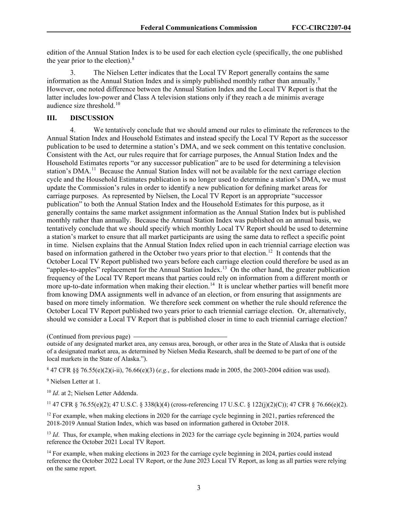edition of the Annual Station Index is to be used for each election cycle (specifically, the one published the year prior to the election). $8$ 

3. The Nielsen Letter indicates that the Local TV Report generally contains the same information as the Annual Station Index and is simply published monthly rather than annually.<sup>[9](#page-3-1)</sup> However, one noted difference between the Annual Station Index and the Local TV Report is that the latter includes low-power and Class A television stations only if they reach a de minimis average audience size threshold.<sup>10</sup>

## **III. DISCUSSION**

4. We tentatively conclude that we should amend our rules to eliminate the references to the Annual Station Index and Household Estimates and instead specify the Local TV Report as the successor publication to be used to determine a station's DMA, and we seek comment on this tentative conclusion. Consistent with the Act, our rules require that for carriage purposes, the Annual Station Index and the Household Estimates reports "or any successor publication" are to be used for determining a television station's DMA.<sup>[11](#page-3-3)</sup> Because the Annual Station Index will not be available for the next carriage election cycle and the Household Estimates publication is no longer used to determine a station's DMA, we must update the Commission's rules in order to identify a new publication for defining market areas for carriage purposes. As represented by Nielsen, the Local TV Report is an appropriate "successor publication" to both the Annual Station Index and the Household Estimates for this purpose, as it generally contains the same market assignment information as the Annual Station Index but is published monthly rather than annually. Because the Annual Station Index was published on an annual basis, we tentatively conclude that we should specify which monthly Local TV Report should be used to determine a station's market to ensure that all market participants are using the same data to reflect a specific point in time. Nielsen explains that the Annual Station Index relied upon in each triennial carriage election was based on information gathered in the October two years prior to that election.<sup>12</sup> It contends that the October Local TV Report published two years before each carriage election could therefore be used as an "apples-to-apples" replacement for the Annual Station Index.<sup>[13](#page-3-5)</sup> On the other hand, the greater publication frequency of the Local TV Report means that parties could rely on information from a different month or more up-to-date information when making their election.<sup>[14](#page-3-6)</sup> It is unclear whether parties will benefit more from knowing DMA assignments well in advance of an election, or from ensuring that assignments are based on more timely information. We therefore seek comment on whether the rule should reference the October Local TV Report published two years prior to each triennial carriage election. Or, alternatively, should we consider a Local TV Report that is published closer in time to each triennial carriage election?

(Continued from previous page)

outside of any designated market area, any census area, borough, or other area in the State of Alaska that is outside of a designated market area, as determined by Nielsen Media Research, shall be deemed to be part of one of the local markets in the State of Alaska.").

<span id="page-3-0"></span><sup>8</sup> 47 CFR §§ 76.55(e)(2)(i-ii), 76.66(e)(3) (*e.g.*, for elections made in 2005, the 2003-2004 edition was used).

<span id="page-3-1"></span><sup>9</sup> Nielsen Letter at 1.

<span id="page-3-2"></span><sup>10</sup> *Id.* at 2; Nielsen Letter Addenda.

<span id="page-3-3"></span><sup>11</sup> 47 CFR § 76.55(e)(2); 47 U.S.C. § 338(k)(4) (cross-referencing 17 U.S.C. § 122(j)(2)(C)); 47 CFR § 76.66(e)(2).

<span id="page-3-4"></span><sup>12</sup> For example, when making elections in 2020 for the carriage cycle beginning in 2021, parties referenced the 2018-2019 Annual Station Index, which was based on information gathered in October 2018.

<span id="page-3-5"></span><sup>13</sup> *Id.* Thus, for example, when making elections in 2023 for the carriage cycle beginning in 2024, parties would reference the October 2021 Local TV Report.

<span id="page-3-6"></span><sup>14</sup> For example, when making elections in 2023 for the carriage cycle beginning in 2024, parties could instead reference the October 2022 Local TV Report, or the June 2023 Local TV Report, as long as all parties were relying on the same report.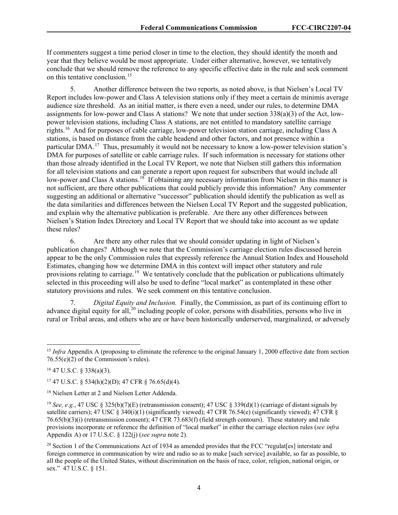If commenters suggest a time period closer in time to the election, they should identify the month and year that they believe would be most appropriate. Under either alternative, however, we tentatively conclude that we should remove the reference to any specific effective date in the rule and seek comment on this tentative conclusion.<sup>[15](#page-4-0)</sup>

5. Another difference between the two reports, as noted above, is that Nielsen's Local TV Report includes low-power and Class A television stations only if they meet a certain de minimis average audience size threshold. As an initial matter, is there even a need, under our rules, to determine DMA assignments for low-power and Class A stations? We note that under section  $338(a)(3)$  of the Act, lowpower television stations, including Class A stations, are not entitled to mandatory satellite carriage rights.[16](#page-4-1) And for purposes of cable carriage, low-power television station carriage, including Class A stations, is based on distance from the cable headend and other factors, and not presence within a particular DMA.<sup>17</sup> Thus, presumably it would not be necessary to know a low-power television station's DMA for purposes of satellite or cable carriage rules. If such information is necessary for stations other than those already identified in the Local TV Report, we note that Nielsen still gathers this information for all television stations and can generate a report upon request for subscribers that would include all low-power and Class A stations.<sup>[18](#page-4-3)</sup> If obtaining any necessary information from Nielsen in this manner is not sufficient, are there other publications that could publicly provide this information? Any commenter suggesting an additional or alternative "successor" publication should identify the publication as well as the data similarities and differences between the Nielsen Local TV Report and the suggested publication, and explain why the alternative publication is preferable. Are there any other differences between Nielsen's Station Index Directory and Local TV Report that we should take into account as we update these rules?

6. Are there any other rules that we should consider updating in light of Nielsen's publication changes? Although we note that the Commission's carriage election rules discussed herein appear to be the only Commission rules that expressly reference the Annual Station Index and Household Estimates, changing how we determine DMA in this context will impact other statutory and rule provisions relating to carriage.<sup>19</sup> We tentatively conclude that the publication or publications ultimately selected in this proceeding will also be used to define "local market" as contemplated in these other statutory provisions and rules. We seek comment on this tentative conclusion.

7. *Digital Equity and Inclusion.* Finally, the Commission, as part of its continuing effort to advance digital equity for all,<sup>[20](#page-4-5)</sup> including people of color, persons with disabilities, persons who live in rural or Tribal areas, and others who are or have been historically underserved, marginalized, or adversely

<span id="page-4-1"></span> $16$  47 U.S.C. § 338(a)(3).

<span id="page-4-2"></span> $17$  47 U.S.C. § 534(h)(2)(D); 47 CFR § 76.65(d)(4).

<span id="page-4-0"></span><sup>&</sup>lt;sup>15</sup> *Infra* Appendix A (proposing to eliminate the reference to the original January 1, 2000 effective date from section 76.55(e)(2) of the Commission's rules).

<span id="page-4-3"></span><sup>18</sup> Nielsen Letter at 2 and Nielsen Letter Addenda.

<span id="page-4-4"></span><sup>19</sup> *See, e.g.*, 47 USC § 325(b)(7)(E) (retransmission consent); 47 USC § 339(d)(1) (carriage of distant signals by satellite carriers); 47 USC § 340(i)(1) (significantly viewed); 47 CFR 76.54(e) (significantly viewed); 47 CFR § 76.65(b)(3)(i) (retransmission consent); 47 CFR 73.683(f) (field strength contours). These statutory and rule provisions incorporate or reference the definition of "local market" in either the carriage election rules (*see infra* Appendix A) or 17 U.S.C. § 122(j) (*see supra* note 2).

<span id="page-4-5"></span><sup>&</sup>lt;sup>20</sup> Section 1 of the Communications Act of 1934 as amended provides that the FCC "regulat[es] interstate and foreign commerce in communication by wire and radio so as to make [such service] available, so far as possible, to all the people of the United States, without discrimination on the basis of race, color, religion, national origin, or sex." 47 U.S.C. § 151.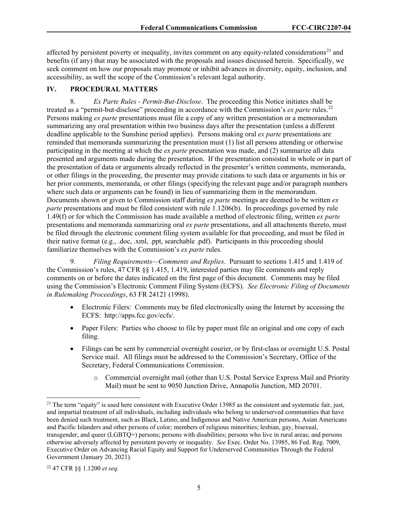affected by persistent poverty or inequality, invites comment on any equity-related considerations<sup>[21](#page-5-0)</sup> and benefits (if any) that may be associated with the proposals and issues discussed herein. Specifically, we seek comment on how our proposals may promote or inhibit advances in diversity, equity, inclusion, and accessibility, as well the scope of the Commission's relevant legal authority.

## **IV. PROCEDURAL MATTERS**

8. *Ex Parte Rules - Permit-But-Disclose*. The proceeding this Notice initiates shall be treated as a "permit-but-disclose" proceeding in accordance with the Commission's *ex parte* rules.[22](#page-5-1) Persons making *ex parte* presentations must file a copy of any written presentation or a memorandum summarizing any oral presentation within two business days after the presentation (unless a different deadline applicable to the Sunshine period applies). Persons making oral *ex parte* presentations are reminded that memoranda summarizing the presentation must (1) list all persons attending or otherwise participating in the meeting at which the *ex parte* presentation was made, and (2) summarize all data presented and arguments made during the presentation. If the presentation consisted in whole or in part of the presentation of data or arguments already reflected in the presenter's written comments, memoranda, or other filings in the proceeding, the presenter may provide citations to such data or arguments in his or her prior comments, memoranda, or other filings (specifying the relevant page and/or paragraph numbers where such data or arguments can be found) in lieu of summarizing them in the memorandum. Documents shown or given to Commission staff during *ex parte* meetings are deemed to be written *ex parte* presentations and must be filed consistent with rule 1.1206(b). In proceedings governed by rule 1.49(f) or for which the Commission has made available a method of electronic filing, written *ex parte* presentations and memoranda summarizing oral *ex parte* presentations, and all attachments thereto, must be filed through the electronic comment filing system available for that proceeding, and must be filed in their native format (e.g., .doc, .xml, .ppt, searchable .pdf). Participants in this proceeding should familiarize themselves with the Commission's *ex parte* rules.

9. *Filing Requirements—Comments and Replies*. Pursuant to sections 1.415 and 1.419 of the Commission's rules, 47 CFR §§ 1.415, 1.419, interested parties may file comments and reply comments on or before the dates indicated on the first page of this document. Comments may be filed using the Commission's Electronic Comment Filing System (ECFS). *See Electronic Filing of Documents in Rulemaking Proceedings*, 63 FR 24121 (1998).

- Electronic Filers: Comments may be filed electronically using the Internet by accessing the ECFS: http://apps.fcc.gov/ecfs/.
- Paper Filers: Parties who choose to file by paper must file an original and one copy of each filing.
- Filings can be sent by commercial overnight courier, or by first-class or overnight U.S. Postal Service mail. All filings must be addressed to the Commission's Secretary, Office of the Secretary, Federal Communications Commission.
	- o Commercial overnight mail (other than U.S. Postal Service Express Mail and Priority Mail) must be sent to 9050 Junction Drive, Annapolis Junction, MD 20701.

<span id="page-5-0"></span> $21$  The term "equity" is used here consistent with Executive Order 13985 as the consistent and systematic fair, just, and impartial treatment of all individuals, including individuals who belong to underserved communities that have been denied such treatment, such as Black, Latino, and Indigenous and Native American persons, Asian Americans and Pacific Islanders and other persons of color; members of religious minorities; lesbian, gay, bisexual, transgender, and queer (LGBTQ+) persons; persons with disabilities; persons who live in rural areas; and persons otherwise adversely affected by persistent poverty or inequality. *See* Exec. Order No. 13985, 86 Fed. Reg. 7009, Executive Order on Advancing Racial Equity and Support for Underserved Communities Through the Federal Government (January 20, 2021).

<span id="page-5-1"></span><sup>22</sup> 47 CFR §§ 1.1200 *et seq.*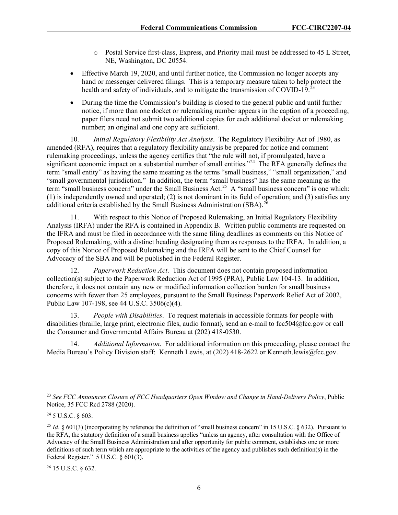- o Postal Service first-class, Express, and Priority mail must be addressed to 45 L Street, NE, Washington, DC 20554.
- Effective March 19, 2020, and until further notice, the Commission no longer accepts any hand or messenger delivered filings. This is a temporary measure taken to help protect the health and safety of individuals, and to mitigate the transmission of COVID-19.<sup>23</sup>
- During the time the Commission's building is closed to the general public and until further notice, if more than one docket or rulemaking number appears in the caption of a proceeding, paper filers need not submit two additional copies for each additional docket or rulemaking number; an original and one copy are sufficient.

10. *Initial Regulatory Flexibility Act Analysis*. The Regulatory Flexibility Act of 1980, as amended (RFA), requires that a regulatory flexibility analysis be prepared for notice and comment rulemaking proceedings, unless the agency certifies that "the rule will not, if promulgated, have a significant economic impact on a substantial number of small entities."<sup>[24](#page-6-1)</sup> The RFA generally defines the term "small entity" as having the same meaning as the terms "small business," "small organization," and "small governmental jurisdiction." In addition, the term "small business" has the same meaning as the term "small business concern" under the Small Business Act.<sup>[25](#page-6-2)</sup> A "small business concern" is one which: (1) is independently owned and operated; (2) is not dominant in its field of operation; and (3) satisfies any additional criteria established by the Small Business Administration (SBA).<sup>[26](#page-6-3)</sup>

11. With respect to this Notice of Proposed Rulemaking, an Initial Regulatory Flexibility Analysis (IRFA) under the RFA is contained in Appendix B. Written public comments are requested on the IFRA and must be filed in accordance with the same filing deadlines as comments on this Notice of Proposed Rulemaking, with a distinct heading designating them as responses to the IRFA. In addition, a copy of this Notice of Proposed Rulemaking and the IRFA will be sent to the Chief Counsel for Advocacy of the SBA and will be published in the Federal Register.

12. *Paperwork Reduction Act*. This document does not contain proposed information collection(s) subject to the Paperwork Reduction Act of 1995 (PRA), Public Law 104-13. In addition, therefore, it does not contain any new or modified information collection burden for small business concerns with fewer than 25 employees, pursuant to the Small Business Paperwork Relief Act of 2002, Public Law 107-198, see 44 U.S.C. 3506(c)(4).

13. *People with Disabilities*. To request materials in accessible formats for people with disabilities (braille, large print, electronic files, audio format), send an e-mail to [fcc504@fcc.gov](about:blank) or call the Consumer and Governmental Affairs Bureau at (202) 418-0530.

14. *Additional Information*. For additional information on this proceeding, please contact the Media Bureau's Policy Division staff: Kenneth Lewis, at (202) 418-2622 or Kenneth.lewis@fcc.gov.

<span id="page-6-3"></span><sup>26</sup> 15 U.S.C. § 632.

<span id="page-6-0"></span><sup>23</sup> *See FCC Announces Closure of FCC Headquarters Open Window and Change in Hand-Delivery Policy*, Public Notice, 35 FCC Rcd 2788 (2020).

<span id="page-6-1"></span><sup>24</sup> 5 U.S.C. § 603.

<span id="page-6-2"></span><sup>&</sup>lt;sup>25</sup> *Id.*  $\S$  601(3) (incorporating by reference the definition of "small business concern" in 15 U.S.C.  $\S$  632). Pursuant to the RFA, the statutory definition of a small business applies "unless an agency, after consultation with the Office of Advocacy of the Small Business Administration and after opportunity for public comment, establishes one or more definitions of such term which are appropriate to the activities of the agency and publishes such definition(s) in the Federal Register." 5 U.S.C. § 601(3).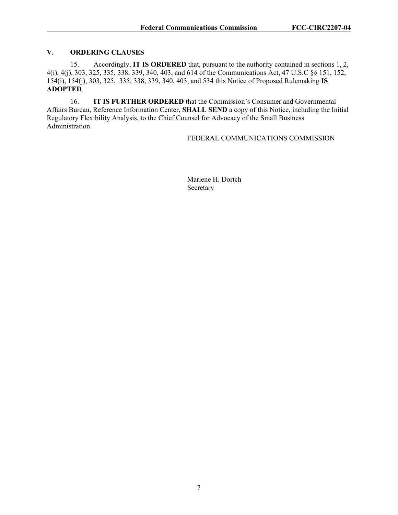### **V. ORDERING CLAUSES**

15. Accordingly, **IT IS ORDERED** that, pursuant to the authority contained in sections 1, 2, 4(i), 4(j), 303, 325, 335, 338, 339, 340, 403, and 614 of the Communications Act, 47 U.S.C §§ 151, 152, 154(i), 154(j), 303, 325, 335, 338, 339, 340, 403, and 534 this Notice of Proposed Rulemaking **IS ADOPTED**.

16. **IT IS FURTHER ORDERED** that the Commission's Consumer and Governmental Affairs Bureau, Reference Information Center, **SHALL SEND** a copy of this Notice, including the Initial Regulatory Flexibility Analysis, to the Chief Counsel for Advocacy of the Small Business Administration.

## FEDERAL COMMUNICATIONS COMMISSION

Marlene H. Dortch Secretary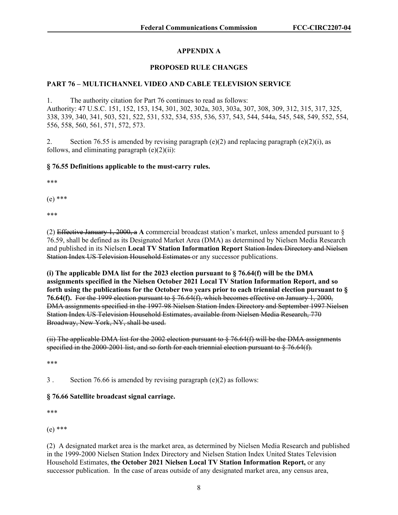# **APPENDIX A**

## **PROPOSED RULE CHANGES**

## **PART 76 – MULTICHANNEL VIDEO AND CABLE TELEVISION SERVICE**

1. The authority citation for Part 76 continues to read as follows: Authority: 47 U.S.C. 151, 152, 153, 154, 301, 302, 302a, 303, 303a, 307, 308, 309, 312, 315, 317, 325, 338, 339, 340, 341, 503, 521, 522, 531, 532, 534, 535, 536, 537, 543, 544, 544a, 545, 548, 549, 552, 554, 556, 558, 560, 561, 571, 572, 573.

2. Section 76.55 is amended by revising paragraph (e)(2) and replacing paragraph (e)(2)(i), as follows, and eliminating paragraph  $(e)(2)(ii)$ :

#### **§ 76.55 Definitions applicable to the must-carry rules.**

\*\*\*

(e) \*\*\*

\*\*\*

(2) Effective January 1, 2000, a **A** commercial broadcast station's market, unless amended pursuant to § 76.59, shall be defined as its Designated Market Area (DMA) as determined by Nielsen Media Research and published in its Nielsen **Local TV Station Information Report** Station Index Directory and Nielsen Station Index US Television Household Estimates or any successor publications.

**(i) The applicable DMA list for the 2023 election pursuant to § 76.64(f) will be the DMA assignments specified in the Nielsen October 2021 Local TV Station Information Report, and so forth using the publications for the October two years prior to each triennial election pursuant to § 76.64(f).** For the 1999 election pursuant to § 76.64(f), which becomes effective on January 1, 2000, DMA assignments specified in the 1997-98 Nielsen Station Index Directory and September 1997 Nielsen Station Index US Television Household Estimates, available from Nielsen Media Research, 770 Broadway, New York, NY, shall be used.

(ii) The applicable DMA list for the 2002 election pursuant to  $\S$  76.64(f) will be the DMA assignments specified in the 2000-2001 list, and so forth for each triennial election pursuant to § 76.64(f).

\*\*\*

3 . Section 76.66 is amended by revising paragraph (e)(2) as follows:

## **§ 76.66 Satellite broadcast signal carriage.**

\*\*\*

(e) \*\*\*

(2) A designated market area is the market area, as determined by Nielsen Media Research and published in the 1999-2000 Nielsen Station Index Directory and Nielsen Station Index United States Television Household Estimates, **the October 2021 Nielsen Local TV Station Information Report,** or any successor publication. In the case of areas outside of any designated market area, any census area,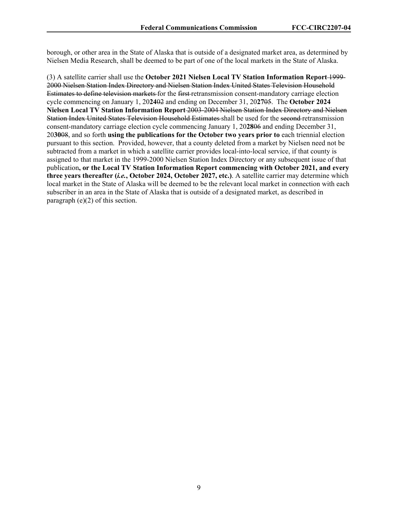borough, or other area in the State of Alaska that is outside of a designated market area, as determined by Nielsen Media Research, shall be deemed to be part of one of the local markets in the State of Alaska.

(3) A satellite carrier shall use the **October 2021 Nielsen Local TV Station Information Report** 1999- 2000 Nielsen Station Index Directory and Nielsen Station Index United States Television Household Estimates to define television markets for the first retransmission consent-mandatory carriage election cycle commencing on January 1, 20**24**02 and ending on December 31, 20**27**05. The **October 2024 Nielsen Local TV Station Information Report** 2003-2004 Nielsen Station Index Directory and Nielsen Station Index United States Television Household Estimates shall be used for the second retransmission consent-mandatory carriage election cycle commencing January 1, 20**28**06 and ending December 31, 20**30**08, and so forth **using the publications for the October two years prior to** each triennial election pursuant to this section. Provided, however, that a county deleted from a market by Nielsen need not be subtracted from a market in which a satellite carrier provides local-into-local service, if that county is assigned to that market in the 1999-2000 Nielsen Station Index Directory or any subsequent issue of that publication**, or the Local TV Station Information Report commencing with October 2021, and every three years thereafter (***i.e.***, October 2024, October 2027, etc.)**. A satellite carrier may determine which local market in the State of Alaska will be deemed to be the relevant local market in connection with each subscriber in an area in the State of Alaska that is outside of a designated market, as described in paragraph (e)(2) of this section.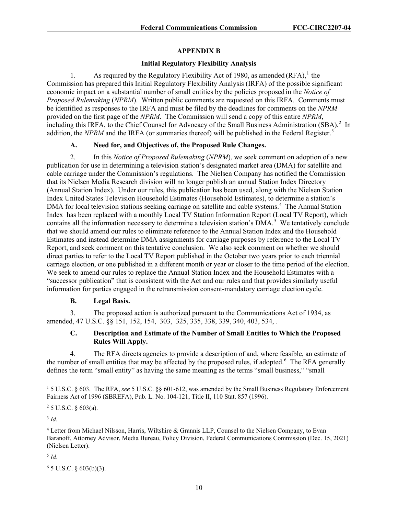## **APPENDIX B**

#### **Initial Regulatory Flexibility Analysis**

[1](#page-10-0). As required by the Regulatory Flexibility Act of 1980, as amended (RFA),<sup>1</sup> the Commission has prepared this Initial Regulatory Flexibility Analysis (IRFA) of the possible significant economic impact on a substantial number of small entities by the policies proposed in the *Notice of Proposed Rulemaking* (*NPRM*). Written public comments are requested on this IRFA. Comments must be identified as responses to the IRFA and must be filed by the deadlines for comments on the *NPRM* provided on the first page of the *NPRM*. The Commission will send a copy of this entire *NPRM*, including this IRFA, to the Chief Counsel for Advocacy of the Small Business Administration (SBA).<sup>[2](#page-10-1)</sup> In addition, the *NPRM* and the IRFA (or summaries thereof) will be published in the Federal Register.<sup>[3](#page-10-2)</sup>

## **A. Need for, and Objectives of, the Proposed Rule Changes.**

2. In this *Notice of Proposed Rulemaking* (*NPRM*), we seek comment on adoption of a new publication for use in determining a television station's designated market area (DMA) for satellite and cable carriage under the Commission's regulations. The Nielsen Company has notified the Commission that its Nielsen Media Research division will no longer publish an annual Station Index Directory (Annual Station Index). Under our rules, this publication has been used, along with the Nielsen Station Index United States Television Household Estimates (Household Estimates), to determine a station's DMA for local television stations seeking carriage on satellite and cable systems.<sup>[4](#page-10-3)</sup> The Annual Station Index has been replaced with a monthly Local TV Station Information Report (Local TV Report), which contains all the information necessary to determine a television station's DMA.<sup>[5](#page-10-4)</sup> We tentatively conclude that we should amend our rules to eliminate reference to the Annual Station Index and the Household Estimates and instead determine DMA assignments for carriage purposes by reference to the Local TV Report, and seek comment on this tentative conclusion. We also seek comment on whether we should direct parties to refer to the Local TV Report published in the October two years prior to each triennial carriage election, or one published in a different month or year or closer to the time period of the election. We seek to amend our rules to replace the Annual Station Index and the Household Estimates with a "successor publication" that is consistent with the Act and our rules and that provides similarly useful information for parties engaged in the retransmission consent-mandatory carriage election cycle.

## **B. Legal Basis.**

3. The proposed action is authorized pursuant to the Communications Act of 1934, as amended, 47 U.S.C. §§ 151, 152, 154, 303, 325, 335, 338, 339, 340, 403, 534, .

## **C. Description and Estimate of the Number of Small Entities to Which the Proposed Rules Will Apply.**

4. The RFA directs agencies to provide a description of and, where feasible, an estimate of the number of small entities that may be affected by the proposed rules, if adopted.<sup>[6](#page-10-5)</sup> The RFA generally defines the term "small entity" as having the same meaning as the terms "small business," "small

<span id="page-10-1"></span> $25$  U.S.C. § 603(a).

<span id="page-10-2"></span> $3$  *Id.* 

<span id="page-10-4"></span><sup>5</sup> *Id*.

<span id="page-10-0"></span><sup>1</sup> 5 U.S.C. § 603. The RFA, *see* 5 U.S.C. §§ 601-612, was amended by the Small Business Regulatory Enforcement Fairness Act of 1996 (SBREFA), Pub. L. No. 104-121, Title II, 110 Stat. 857 (1996).

<span id="page-10-3"></span><sup>4</sup> Letter from Michael Nilsson, Harris, Wiltshire & Grannis LLP, Counsel to the Nielsen Company, to Evan Baranoff, Attorney Advisor, Media Bureau, Policy Division, Federal Communications Commission (Dec. 15, 2021) (Nielsen Letter).

<span id="page-10-5"></span><sup>6</sup> 5 U.S.C. § 603(b)(3).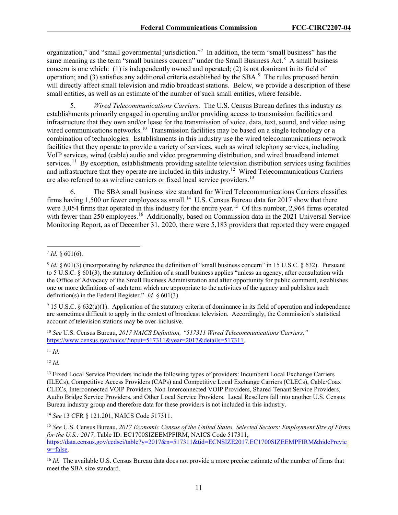organization," and "small governmental jurisdiction."<sup>[7](#page-11-0)</sup> In addition, the term "small business" has the same meaning as the term "small business concern" under the Small Business Act.<sup>[8](#page-11-1)</sup> A small business concern is one which: (1) is independently owned and operated; (2) is not dominant in its field of operation; and (3) satisfies any additional criteria established by the SBA. $^9$  $^9$  The rules proposed herein will directly affect small television and radio broadcast stations. Below, we provide a description of these small entities, as well as an estimate of the number of such small entities, where feasible.

5. *Wired Telecommunications Carriers*. The U.S. Census Bureau defines this industry as establishments primarily engaged in operating and/or providing access to transmission facilities and infrastructure that they own and/or lease for the transmission of voice, data, text, sound, and video using wired communications networks.<sup>10</sup> Transmission facilities may be based on a single technology or a combination of technologies. Establishments in this industry use the wired telecommunications network facilities that they operate to provide a variety of services, such as wired telephony services, including VoIP services, wired (cable) audio and video programming distribution, and wired broadband internet services.<sup>11</sup> By exception, establishments providing satellite television distribution services using facilities and infrastructure that they operate are included in this industry.<sup>12</sup> Wired Telecommunications Carriers are also referred to as wireline carriers or fixed local service providers.<sup>[13](#page-11-6)</sup>

6. The SBA small business size standard for Wired Telecommunications Carriers classifies firms having 1,500 or fewer employees as small.<sup>14</sup> U.S. Census Bureau data for 2017 show that there were 3,054 firms that operated in this industry for the entire year.<sup>[15](#page-11-8)</sup> Of this number, 2,964 firms operated with fewer than 250 employees.<sup>[16](#page-11-9)</sup> Additionally, based on Commission data in the 2021 Universal Service Monitoring Report, as of December 31, 2020, there were 5,183 providers that reported they were engaged

<span id="page-11-2"></span><sup>9</sup> 15 U.S.C. § 632(a)(1). Application of the statutory criteria of dominance in its field of operation and independence are sometimes difficult to apply in the context of broadcast television. Accordingly, the Commission's statistical account of television stations may be over-inclusive.

<span id="page-11-3"></span><sup>10</sup> *See* U.S. Census Bureau, *2017 NAICS Definition, "517311 Wired Telecommunications Carriers,"* [https://www.census.gov/naics/?input=517311&year=2017&details=517311.](https://www.census.gov/naics/?input=517311&year=2017&details=517311)

<span id="page-11-4"></span><sup>11</sup> *Id.*

<span id="page-11-5"></span><sup>12</sup> *Id.*

<span id="page-11-7"></span><sup>14</sup> *See* 13 CFR § 121.201, NAICS Code 517311.

<span id="page-11-0"></span> $7$  *Id.* § 601(6).

<span id="page-11-1"></span> $8$  *Id.*  $§$  601(3) (incorporating by reference the definition of "small business concern" in 15 U.S.C. § 632). Pursuant to 5 U.S.C. § 601(3), the statutory definition of a small business applies "unless an agency, after consultation with the Office of Advocacy of the Small Business Administration and after opportunity for public comment, establishes one or more definitions of such term which are appropriate to the activities of the agency and publishes such definition(s) in the Federal Register." *Id.* § 601(3).

<span id="page-11-6"></span><sup>&</sup>lt;sup>13</sup> Fixed Local Service Providers include the following types of providers: Incumbent Local Exchange Carriers (ILECs), Competitive Access Providers (CAPs) and Competitive Local Exchange Carriers (CLECs), Cable/Coax CLECs, Interconnected VOIP Providers, Non-Interconnected VOIP Providers, Shared-Tenant Service Providers, Audio Bridge Service Providers, and Other Local Service Providers. Local Resellers fall into another U.S. Census Bureau industry group and therefore data for these providers is not included in this industry.

<span id="page-11-8"></span><sup>15</sup> *See* U.S. Census Bureau, *2017 Economic Census of the United States, Selected Sectors: Employment Size of Firms for the U.S.: 2017, Table ID: EC1700SIZEEMPFIRM, NAICS Code 517311,* [https://data.census.gov/cedsci/table?y=2017&n=517311&tid=ECNSIZE2017.EC1700SIZEEMPFIRM&hidePrevie](https://data.census.gov/cedsci/table?y=2017&n=517311&tid=ECNSIZE2017.EC1700SIZEEMPFIRM&hidePreview=false) [w=false.](https://data.census.gov/cedsci/table?y=2017&n=517311&tid=ECNSIZE2017.EC1700SIZEEMPFIRM&hidePreview=false)

<span id="page-11-9"></span><sup>&</sup>lt;sup>16</sup> *Id.* The available U.S. Census Bureau data does not provide a more precise estimate of the number of firms that meet the SBA size standard.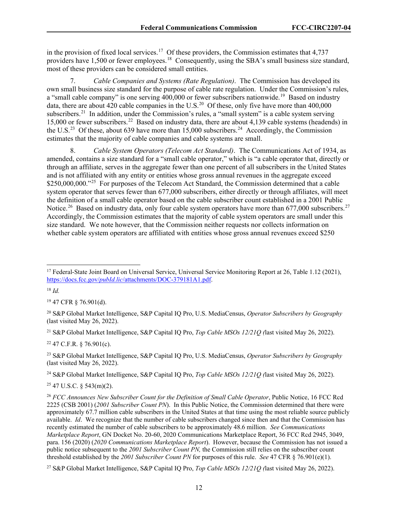in the provision of fixed local services.<sup>17</sup> Of these providers, the Commission estimates that  $4,737$ providers have 1,500 or fewer employees.<sup>[18](#page-12-1)</sup> Consequently, using the SBA's small business size standard, most of these providers can be considered small entities.

7. *Cable Companies and Systems (Rate Regulation)*. The Commission has developed its own small business size standard for the purpose of cable rate regulation. Under the Commission's rules, a "small cable company" is one serving  $400,000$  or fewer subscribers nationwide.<sup>[19](#page-12-2)</sup> Based on industry data, there are about 4[20](#page-12-3) cable companies in the U.S.<sup>20</sup> Of these, only five have more than 400,000 subscribers.<sup>21</sup> In addition, under the Commission's rules, a "small system" is a cable system serving 15,000 or fewer subscribers.[22](#page-12-5) Based on industry data, there are about 4,139 cable systems (headends) in the U.S.<sup>[23](#page-12-6)</sup> Of these, about 639 have more than  $15,000$  subscribers.<sup>[24](#page-12-7)</sup> Accordingly, the Commission estimates that the majority of cable companies and cable systems are small.

8. *Cable System Operators (Telecom Act Standard)*. The Communications Act of 1934, as amended, contains a size standard for a "small cable operator," which is "a cable operator that, directly or through an affiliate, serves in the aggregate fewer than one percent of all subscribers in the United States and is not affiliated with any entity or entities whose gross annual revenues in the aggregate exceed  $$250,000,000.$ <sup>25</sup> For purposes of the Telecom Act Standard, the Commission determined that a cable system operator that serves fewer than 677,000 subscribers, either directly or through affiliates, will meet the definition of a small cable operator based on the cable subscriber count established in a 2001 Public Notice.<sup>26</sup> Based on industry data, only four cable system operators have more than 677,000 subscribers.<sup>[27](#page-12-10)</sup> Accordingly, the Commission estimates that the majority of cable system operators are small under this size standard. We note however, that the Commission neither requests nor collects information on whether cable system operators are affiliated with entities whose gross annual revenues exceed \$250

<span id="page-12-1"></span><sup>18</sup> *Id.*

<span id="page-12-2"></span><sup>19</sup> 47 CFR § 76.901(d).

<span id="page-12-3"></span><sup>20</sup> S&P Global Market Intelligence, S&P Capital IQ Pro, U.S. MediaCensus, *Operator Subscribers by Geography* (last visited May 26, 2022).

<span id="page-12-4"></span><sup>21</sup> S&P Global Market Intelligence, S&P Capital IQ Pro, *Top Cable MSOs 12/21Q (*last visited May 26, 2022).

<span id="page-12-5"></span> $22$  47 C.F.R. § 76.901(c).

<span id="page-12-6"></span><sup>23</sup> S&P Global Market Intelligence, S&P Capital IQ Pro, U.S. MediaCensus, *Operator Subscribers by Geography* (last visited May 26, 2022).

<span id="page-12-7"></span><sup>24</sup> S&P Global Market Intelligence, S&P Capital IQ Pro, *Top Cable MSOs 12/21Q (*last visited May 26, 2022).

<span id="page-12-8"></span> $25$  47 U.S.C. § 543(m)(2).

<span id="page-12-9"></span><sup>26</sup> *FCC Announces New Subscriber Count for the Definition of Small Cable Operator*, Public Notice, 16 FCC Rcd 2225 (CSB 2001) (*2001 Subscriber Count PN*). In this Public Notice, the Commission determined that there were approximately 67.7 million cable subscribers in the United States at that time using the most reliable source publicly available. *Id*. We recognize that the number of cable subscribers changed since then and that the Commission has recently estimated the number of cable subscribers to be approximately 48.6 million. *See Communications Marketplace Report*, GN Docket No. 20-60, 2020 Communications Marketplace Report, 36 FCC Rcd 2945, 3049, para. 156 (2020) (*2020 Communications Marketplace Report*). However, because the Commission has not issued a public notice subsequent to the *2001 Subscriber Count PN,* the Commission still relies on the subscriber count threshold established by the *2001 Subscriber Count PN* for purposes of this rule. *See* 47 CFR § 76.901(e)(1).

<span id="page-12-10"></span><sup>27</sup> S&P Global Market Intelligence, S&P Capital IQ Pro, *Top Cable MSOs 12/21Q (*last visited May 26, 2022).

<span id="page-12-0"></span><sup>&</sup>lt;sup>17</sup> Federal-State Joint Board on Universal Service, Universal Service Monitoring Report at 26, Table 1.12 (2021), https://docs.fcc.gov/*pubId.lic*[/attachments/DOC-379181A1.pdf.](https://docs.fcc.gov/public/attachments/DOC-379181A1.pdf)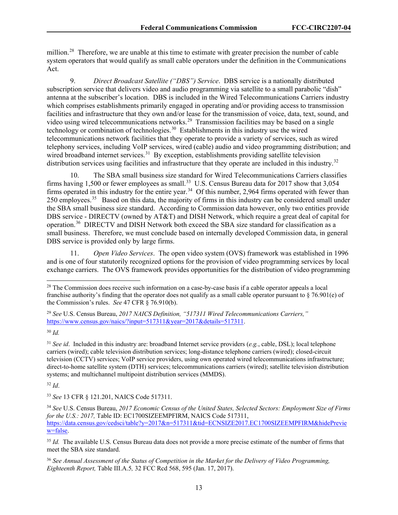million.<sup>[28](#page-13-0)</sup> Therefore, we are unable at this time to estimate with greater precision the number of cable system operators that would qualify as small cable operators under the definition in the Communications Act.

9. *Direct Broadcast Satellite ("DBS") Service*. DBS service is a nationally distributed subscription service that delivers video and audio programming via satellite to a small parabolic "dish" antenna at the subscriber's location. DBS is included in the Wired Telecommunications Carriers industry which comprises establishments primarily engaged in operating and/or providing access to transmission facilities and infrastructure that they own and/or lease for the transmission of voice, data, text, sound, and video using wired telecommunications networks.<sup>29</sup> Transmission facilities may be based on a single technology or combination of technologies.<sup>[30](#page-13-2)</sup> Establishments in this industry use the wired telecommunications network facilities that they operate to provide a variety of services, such as wired telephony services, including VoIP services, wired (cable) audio and video programming distribution; and wired broadband internet services.<sup>[31](#page-13-3)</sup> By exception, establishments providing satellite television distribution services using facilities and infrastructure that they operate are included in this industry.<sup>[32](#page-13-4)</sup>

10. The SBA small business size standard for Wired Telecommunications Carriers classifies firms having 1,500 or fewer employees as small.<sup>33</sup> U.S. Census Bureau data for 2017 show that  $3,054$ firms operated in this industry for the entire year.<sup>[34](#page-13-6)</sup> Of this number, 2,964 firms operated with fewer than 250 employees.<sup>35</sup> Based on this data, the majority of firms in this industry can be considered small under the SBA small business size standard. According to Commission data however, only two entities provide DBS service - DIRECTV (owned by AT&T) and DISH Network, which require a great deal of capital for operation.[36](#page-13-8) DIRECTV and DISH Network both exceed the SBA size standard for classification as a small business. Therefore, we must conclude based on internally developed Commission data, in general DBS service is provided only by large firms.

11. *Open Video Services*. The open video system (OVS) framework was established in 1996 and is one of four statutorily recognized options for the provision of video programming services by local exchange carriers. The OVS framework provides opportunities for the distribution of video programming

<span id="page-13-4"></span><sup>32</sup> *Id*.

<span id="page-13-5"></span><sup>33</sup> *See* 13 CFR § 121.201, NAICS Code 517311.

<span id="page-13-0"></span><sup>&</sup>lt;sup>28</sup> The Commission does receive such information on a case-by-case basis if a cable operator appeals a local franchise authority's finding that the operator does not qualify as a small cable operator pursuant to  $\S$  76.901(e) of the Commission's rules. *See* 47 CFR § 76.910(b).

<span id="page-13-1"></span><sup>29</sup> *See* U.S. Census Bureau, *2017 NAICS Definition, "517311 Wired Telecommunications Carriers,"* [https://www.census.gov/naics/?input=517311&year=2017&details=517311.](https://www.census.gov/naics/?input=517311&year=2017&details=517311)

<span id="page-13-2"></span><sup>30</sup> *Id.*

<span id="page-13-3"></span><sup>31</sup> *See id*. Included in this industry are: broadband Internet service providers (*e.g.*, cable, DSL); local telephone carriers (wired); cable television distribution services; long-distance telephone carriers (wired); closed-circuit television (CCTV) services; VoIP service providers, using own operated wired telecommunications infrastructure; direct-to-home satellite system (DTH) services; telecommunications carriers (wired); satellite television distribution systems; and multichannel multipoint distribution services (MMDS).

<span id="page-13-6"></span><sup>34</sup> *See* U.S. Census Bureau, *2017 Economic Census of the United States, Selected Sectors: Employment Size of Firms for the U.S.: 2017,* Table ID: EC1700SIZEEMPFIRM, NAICS Code 517311, [https://data.census.gov/cedsci/table?y=2017&n=517311&tid=ECNSIZE2017.EC1700SIZEEMPFIRM&hidePrevie](https://data.census.gov/cedsci/table?y=2017&n=517311&tid=ECNSIZE2017.EC1700SIZEEMPFIRM&hidePreview=false) [w=false.](https://data.census.gov/cedsci/table?y=2017&n=517311&tid=ECNSIZE2017.EC1700SIZEEMPFIRM&hidePreview=false)

<span id="page-13-7"></span><sup>&</sup>lt;sup>35</sup> *Id.* The available U.S. Census Bureau data does not provide a more precise estimate of the number of firms that meet the SBA size standard.

<span id="page-13-8"></span><sup>36</sup> *See Annual Assessment of the Status of Competition in the Market for the Delivery of Video Programming, Eighteenth Report,* Table III.A.5*,* 32 FCC Rcd 568, 595 (Jan. 17, 2017).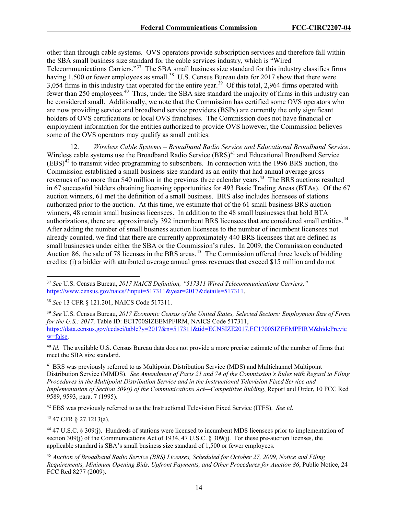other than through cable systems. OVS operators provide subscription services and therefore fall within the SBA small business size standard for the cable services industry, which is "Wired Telecommunications Carriers."[37](#page-14-0) The SBA small business size standard for this industry classifies firms having 1,500 or fewer employees as small.<sup>38</sup> U.S. Census Bureau data for 2017 show that there were 3,054 firms in this industry that operated for the entire year.<sup>39</sup> Of this total, 2,964 firms operated with fewer than 250 employees.[40](#page-14-3) Thus, under the SBA size standard the majority of firms in this industry can be considered small. Additionally, we note that the Commission has certified some OVS operators who are now providing service and broadband service providers (BSPs) are currently the only significant holders of OVS certifications or local OVS franchises. The Commission does not have financial or employment information for the entities authorized to provide OVS however, the Commission believes some of the OVS operators may qualify as small entities.

12. *Wireless Cable Systems – Broadband Radio Service and Educational Broadband Service*. Wireless cable systems use the Broadband Radio Service (BRS)<sup>[41](#page-14-4)</sup> and Educational Broadband Service  $(EBS)^{42}$  $(EBS)^{42}$  $(EBS)^{42}$  to transmit video programming to subscribers. In connection with the 1996 BRS auction, the Commission established a small business size standard as an entity that had annual average gross revenues of no more than \$40 million in the previous three calendar years.<sup>43</sup> The BRS auctions resulted in 67 successful bidders obtaining licensing opportunities for 493 Basic Trading Areas (BTAs). Of the 67 auction winners, 61 met the definition of a small business. BRS also includes licensees of stations authorized prior to the auction. At this time, we estimate that of the 61 small business BRS auction winners, 48 remain small business licensees. In addition to the 48 small businesses that hold BTA authorizations, there are approximately 392 incumbent BRS licensees that are considered small entities.<sup>44</sup> After adding the number of small business auction licensees to the number of incumbent licensees not already counted, we find that there are currently approximately 440 BRS licensees that are defined as small businesses under either the SBA or the Commission's rules. In 2009, the Commission conducted Auction 86, the sale of 78 licenses in the BRS areas.<sup>45</sup> The Commission offered three levels of bidding credits: (i) a bidder with attributed average annual gross revenues that exceed \$15 million and do not

<span id="page-14-1"></span><sup>38</sup> *See* 13 CFR § 121.201, NAICS Code 517311.

<span id="page-14-2"></span><sup>39</sup> *See* U.S. Census Bureau, *2017 Economic Census of the United States, Selected Sectors: Employment Size of Firms for the U.S.: 2017, Table ID: EC1700SIZEEMPFIRM, NAICS Code 517311,* [https://data.census.gov/cedsci/table?y=2017&n=517311&tid=ECNSIZE2017.EC1700SIZEEMPFIRM&hidePrevie](https://data.census.gov/cedsci/table?y=2017&n=517311&tid=ECNSIZE2017.EC1700SIZEEMPFIRM&hidePreview=false) [w=false.](https://data.census.gov/cedsci/table?y=2017&n=517311&tid=ECNSIZE2017.EC1700SIZEEMPFIRM&hidePreview=false)

<span id="page-14-3"></span><sup>40</sup> *Id.* The available U.S. Census Bureau data does not provide a more precise estimate of the number of firms that meet the SBA size standard.

<span id="page-14-4"></span><sup>41</sup> BRS was previously referred to as Multipoint Distribution Service (MDS) and Multichannel Multipoint Distribution Service (MMDS). *See Amendment of Parts 21 and 74 of the Commission's Rules with Regard to Filing Procedures in the Multipoint Distribution Service and in the Instructional Television Fixed Service and Implementation of Section 309(j) of the Communications Act—Competitive Bidding*, Report and Order, 10 FCC Rcd 9589, 9593, para. 7 (1995).

<span id="page-14-5"></span><sup>42</sup> EBS was previously referred to as the Instructional Television Fixed Service (ITFS). *See id*.

<span id="page-14-6"></span><sup>43</sup> 47 CFR § 27.1213(a).

<span id="page-14-7"></span><sup>44</sup> 47 U.S.C. § 309(j). Hundreds of stations were licensed to incumbent MDS licensees prior to implementation of section 309(j) of the Communications Act of 1934, 47 U.S.C. § 309(j). For these pre-auction licenses, the applicable standard is SBA's small business size standard of 1,500 or fewer employees.

<span id="page-14-8"></span><sup>45</sup> *Auction of Broadband Radio Service (BRS) Licenses, Scheduled for October 27, 2009, Notice and Filing Requirements, Minimum Opening Bids, Upfront Payments, and Other Procedures for Auction 86*, Public Notice, 24 FCC Rcd 8277 (2009).

<span id="page-14-0"></span><sup>37</sup> *See* U.S. Census Bureau, *2017 NAICS Definition, "517311 Wired Telecommunications Carriers,"* [https://www.census.gov/naics/?input=517311&year=2017&details=517311.](https://www.census.gov/naics/?input=517311&year=2017&details=517311)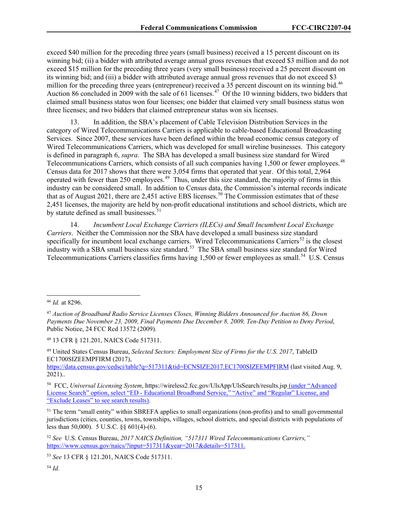exceed \$40 million for the preceding three years (small business) received a 15 percent discount on its winning bid; (ii) a bidder with attributed average annual gross revenues that exceed \$3 million and do not exceed \$15 million for the preceding three years (very small business) received a 25 percent discount on its winning bid; and (iii) a bidder with attributed average annual gross revenues that do not exceed \$3 million for the preceding three years (entrepreneur) received a 35 percent discount on its winning bid.<sup>[46](#page-15-0)</sup> Auction 86 concluded in 2009 with the sale of 61 licenses.<sup>[47](#page-15-1)</sup> Of the 10 winning bidders, two bidders that claimed small business status won four licenses; one bidder that claimed very small business status won three licenses; and two bidders that claimed entrepreneur status won six licenses.

In addition, the SBA's placement of Cable Television Distribution Services in the category of Wired Telecommunications Carriers is applicable to cable-based Educational Broadcasting Services. Since 2007, these services have been defined within the broad economic census category of Wired Telecommunications Carriers, which was developed for small wireline businesses. This category is defined in paragraph 6, *supra*. The SBA has developed a small business size standard for Wired Telecommunications Carriers, which consists of all such companies having 1,500 or fewer employees.<sup>48</sup> Census data for 2017 shows that there were 3,054 firms that operated that year. Of this total, 2,964 operated with fewer than 250 employees.[49](#page-15-3) Thus, under this size standard, the majority of firms in this industry can be considered small. In addition to Census data, the Commission's internal records indicate that as of August 2021, there are 2,451 active EBS licenses.<sup>[50](#page-15-4)</sup> The Commission estimates that of these 2,451 licenses, the majority are held by non-profit educational institutions and school districts, which are by statute defined as small businesses. $51$ 

14. *Incumbent Local Exchange Carriers (ILECs) and Small Incumbent Local Exchange Carriers*. Neither the Commission nor the SBA have developed a small business size standard specifically for incumbent local exchange carriers. Wired Telecommunications Carriers<sup>[52](#page-15-6)</sup> is the closest industry with a SBA small business size standard.<sup>53</sup> The SBA small business size standard for Wired Telecommunications Carriers classifies firms having 1,500 or fewer employees as small.<sup>54</sup> U.S. Census

<span id="page-15-2"></span><sup>48</sup> 13 CFR § 121.201, NAICS Code 517311.

<span id="page-15-0"></span><sup>46</sup> *Id.* at 8296.

<span id="page-15-1"></span><sup>47</sup> *Auction of Broadband Radio Service Licenses Closes, Winning Bidders Announced for Auction 86, Down Payments Due November 23, 2009, Final Payments Due December 8, 2009, Ten-Day Petition to Deny Period*, Public Notice, 24 FCC Rcd 13572 (2009).

<span id="page-15-3"></span><sup>49</sup> United States Census Bureau, *Selected Sectors: Employment Size of Firms for the U.S. 2017*, TableID EC1700SIZEEMPFIRM (2017),

<https://data.census.gov/cedsci/table?q=517311&tid=ECNSIZE2017.EC1700SIZEEMPFIRM> (last visited Aug. 9, 2021)..

<span id="page-15-4"></span><sup>50</sup> FCC, *Universal Licensing System*, https://wireless2.fcc.gov/UlsApp/UlsSearch/results.jsp (under "Advanced License Search" option, select "ED - Educational Broadband Service," "Active" and "Regular" License, and "Exclude Leases" to see search results).

<span id="page-15-5"></span><sup>&</sup>lt;sup>51</sup> The term "small entity" within SBREFA applies to small organizations (non-profits) and to small governmental jurisdictions (cities, counties, towns, townships, villages, school districts, and special districts with populations of less than 50,000). [5 U.S.C. §§ 601\(4\)-](http://web2.westlaw.com/find/default.wl?mt=122&db=1000546&docname=5USCAS601&rp=%2ffind%2fdefault.wl&findtype=L&ordoc=2028756128&tc=-1&vr=2.0&fn=_top&sv=Split&tf=-1&referencepositiontype=T&pbc=548C6C6F&referenceposition=SP%3b0bd500007a412&rs=WLW12.07)[\(6\).](http://web2.westlaw.com/find/default.wl?mt=122&db=1000546&docname=5USCAS601&rp=%2ffind%2fdefault.wl&findtype=L&ordoc=2028756128&tc=-1&vr=2.0&fn=_top&sv=Split&tf=-1&referencepositiontype=T&pbc=548C6C6F&referenceposition=SP%3b1e9a0000fd6a3&rs=WLW12.07)

<span id="page-15-6"></span><sup>52</sup> *See* U.S. Census Bureau, *2017 NAICS Definition, "517311 Wired Telecommunications Carriers,"* [https://www.census.gov/naics/?input=517311&year=2017&details=517311.](https://www.census.gov/naics/?input=517311&year=2017&details=517311)

<span id="page-15-7"></span><sup>53</sup> *See* 13 CFR § 121.201, NAICS Code 517311.

<span id="page-15-8"></span><sup>54</sup> *Id.*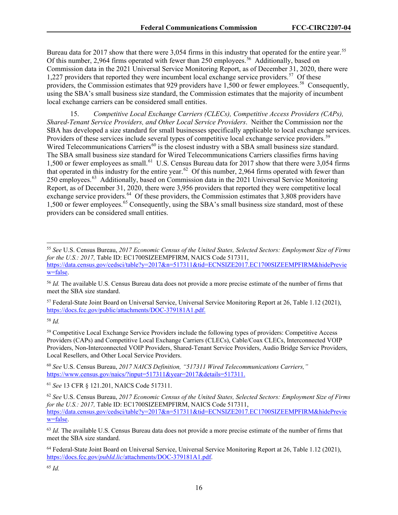Bureau data for 2017 show that there were 3,054 firms in this industry that operated for the entire year.<sup>55</sup> Of this number, 2,964 firms operated with fewer than 250 employees.<sup>56</sup> Additionally, based on Commission data in the 2021 Universal Service Monitoring Report, as of December 31, 2020, there were 1,227 providers that reported they were incumbent local exchange service providers.<sup>57</sup> Of these providers, the Commission estimates that 929 providers have 1,500 or fewer employees.<sup>[58](#page-16-3)</sup> Consequently, using the SBA's small business size standard, the Commission estimates that the majority of incumbent local exchange carriers can be considered small entities.

15. *Competitive Local Exchange Carriers (CLECs), Competitive Access Providers (CAPs), Shared-Tenant Service Providers, and Other Local Service Providers*. Neither the Commission nor the SBA has developed a size standard for small businesses specifically applicable to local exchange services. Providers of these services include several types of competitive local exchange service providers.<sup>[59](#page-16-4)</sup> Wired Telecommunications Carriers<sup>[60](#page-16-5)</sup> is the closest industry with a SBA small business size standard. The SBA small business size standard for Wired Telecommunications Carriers classifies firms having 1,500 or fewer employees as small.<sup>[61](#page-16-6)</sup> U.S. Census Bureau data for 2017 show that there were 3,054 firms that operated in this industry for the entire year.<sup>[62](#page-16-7)</sup> Of this number, 2,964 firms operated with fewer than 250 employees.[63](#page-16-8) Additionally, based on Commission data in the 2021 Universal Service Monitoring Report, as of December 31, 2020, there were 3,956 providers that reported they were competitive local exchange service providers.<sup>[64](#page-16-9)</sup> Of these providers, the Commission estimates that 3,808 providers have 1,500 or fewer employees.[65](#page-16-10) Consequently, using the SBA's small business size standard, most of these providers can be considered small entities.

<span id="page-16-2"></span><sup>57</sup> Federal-State Joint Board on Universal Service, Universal Service Monitoring Report at 26, Table 1.12 (2021), https://docs.fcc.gov/public/attachments/DOC-379181A1.pdf.

<span id="page-16-3"></span><sup>58</sup> *Id.*

<span id="page-16-4"></span><sup>59</sup> Competitive Local Exchange Service Providers include the following types of providers: Competitive Access Providers (CAPs) and Competitive Local Exchange Carriers (CLECs), Cable/Coax CLECs, Interconnected VOIP Providers, Non-Interconnected VOIP Providers, Shared-Tenant Service Providers, Audio Bridge Service Providers, Local Resellers, and Other Local Service Providers.

<span id="page-16-5"></span><sup>60</sup> *See* U.S. Census Bureau, *2017 NAICS Definition, "517311 Wired Telecommunications Carriers,"* https://www.census.gov/naics/?input=517311&year=2017&details=517311.

<span id="page-16-6"></span><sup>61</sup> *See* 13 CFR § 121.201, NAICS Code 517311.

<span id="page-16-0"></span><sup>55</sup> *See* U.S. Census Bureau, *2017 Economic Census of the United States, Selected Sectors: Employment Size of Firms for the U.S.: 2017, Table ID: EC1700SIZEEMPFIRM, NAICS Code 517311,* https://data.census.gov/cedsci/table?y=2017&n=517311&tid=ECNSIZE2017.EC1700SIZEEMPFIRM&hidePrevie w=false.

<span id="page-16-1"></span><sup>56</sup> *Id.* The available U.S. Census Bureau data does not provide a more precise estimate of the number of firms that meet the SBA size standard.

<span id="page-16-7"></span><sup>62</sup> *See* U.S. Census Bureau, *2017 Economic Census of the United States, Selected Sectors: Employment Size of Firms for the U.S.: 2017,* Table ID: EC1700SIZEEMPFIRM, NAICS Code 517311, https://data.census.gov/cedsci/table?y=2017&n=517311&tid=ECNSIZE2017.EC1700SIZEEMPFIRM&hidePrevie w=false.

<span id="page-16-8"></span><sup>&</sup>lt;sup>63</sup> *Id.* The available U.S. Census Bureau data does not provide a more precise estimate of the number of firms that meet the SBA size standard.

<span id="page-16-9"></span><sup>64</sup> Federal-State Joint Board on Universal Service, Universal Service Monitoring Report at 26, Table 1.12 (2021), https://docs.fcc.gov/*pubId.lic*/attachments/DOC-379181A1.pdf.

<span id="page-16-10"></span><sup>65</sup> *Id.*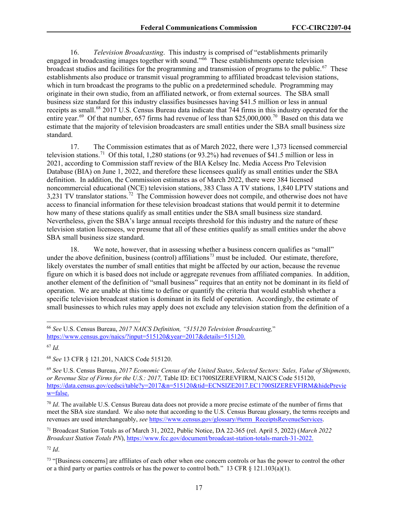16. *Television Broadcasting*. This industry is comprised of "establishments primarily engaged in broadcasting images together with sound."[66](#page-17-0) These establishments operate television broadcast studios and facilities for the programming and transmission of programs to the public.<sup>67</sup> These establishments also produce or transmit visual programming to affiliated broadcast television stations, which in turn broadcast the programs to the public on a predetermined schedule. Programming may originate in their own studio, from an affiliated network, or from external sources. The SBA small business size standard for this industry classifies businesses having \$41.5 million or less in annual receipts as small.<sup>[68](#page-17-2)</sup> 2017 U.S. Census Bureau data indicate that 744 firms in this industry operated for the entire year.<sup>[69](#page-17-3)</sup> Of that number, 657 firms had revenue of less than \$25,000,000.<sup>70</sup> Based on this data we estimate that the majority of television broadcasters are small entities under the SBA small business size standard.

17. The Commission estimates that as of March 2022, there were 1,373 licensed commercial television stations.<sup>[71](#page-17-5)</sup> Of this total, 1.280 stations (or 93.2%) had revenues of \$41.5 million or less in 2021, according to Commission staff review of the BIA Kelsey Inc. Media Access Pro Television Database (BIA) on June 1, 2022, and therefore these licensees qualify as small entities under the SBA definition. In addition, the Commission estimates as of March 2022, there were 384 licensed noncommercial educational (NCE) television stations, 383 Class A TV stations, 1,840 LPTV stations and 3,231 TV translator stations.<sup>[72](#page-17-6)</sup> The Commission however does not compile, and otherwise does not have access to financial information for these television broadcast stations that would permit it to determine how many of these stations qualify as small entities under the SBA small business size standard. Nevertheless, given the SBA's large annual receipts threshold for this industry and the nature of these television station licensees, we presume that all of these entities qualify as small entities under the above SBA small business size standard.

18. We note, however, that in assessing whether a business concern qualifies as "small" under the above definition, business (control) affiliations<sup>[73](#page-17-7)</sup> must be included. Our estimate, therefore, likely overstates the number of small entities that might be affected by our action, because the revenue figure on which it is based does not include or aggregate revenues from affiliated companies. In addition, another element of the definition of "small business" requires that an entity not be dominant in its field of operation. We are unable at this time to define or quantify the criteria that would establish whether a specific television broadcast station is dominant in its field of operation. Accordingly, the estimate of small businesses to which rules may apply does not exclude any television station from the definition of a

<span id="page-17-1"></span><sup>67</sup> *Id.*

<span id="page-17-2"></span><sup>68</sup> *See* 13 CFR § 121.201, NAICS Code 515120.

<span id="page-17-6"></span><sup>72</sup> *Id*.

<span id="page-17-0"></span><sup>66</sup> *See* U.S. Census Bureau, *2017 NAICS Definition, "515120 Television Broadcasting,*" https://www.census.gov/naics/?input=515120&year=2017&details=515120.

<span id="page-17-3"></span><sup>69</sup> *See* U.S. Census Bureau, *2017 Economic Census of the United States*, *Selected Sectors: Sales, Value of Shipments, or Revenue Size of Firms for the U.S.: 2017,* Table ID: EC1700SIZEREVFIRM, NAICS Code 515120, https://data.census.gov/cedsci/table?y=2017&n=515120&tid=ECNSIZE2017.EC1700SIZEREVFIRM&hidePrevie w=false.

<span id="page-17-4"></span><sup>70</sup> *Id*. The available U.S. Census Bureau data does not provide a more precise estimate of the number of firms that meet the SBA size standard. We also note that according to the U.S. Census Bureau glossary, the terms receipts and revenues are used interchangeably, *see* https://www.census.gov/glossary/#term\_ReceiptsRevenueServices.

<span id="page-17-5"></span><sup>71</sup> Broadcast Station Totals as of March 31, 2022, Public Notice, DA 22-365 (rel. April 5, 2022) (*March 2022 Broadcast Station Totals PN*), https://www.fcc.gov/document/broadcast-station-totals-march-31-2022.

<span id="page-17-7"></span><sup>&</sup>lt;sup>73</sup> "[Business concerns] are affiliates of each other when one concern controls or has the power to control the other or a third party or parties controls or has the power to control both." 13 CFR  $\S$  121.103(a)(1).